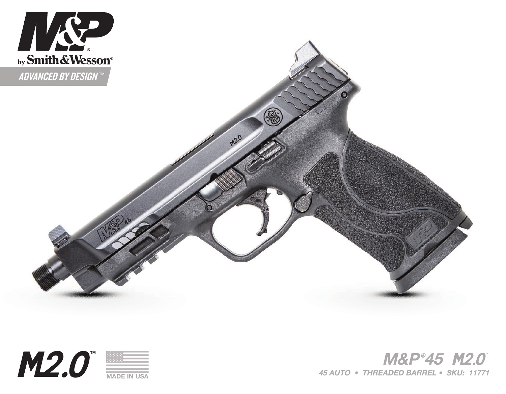